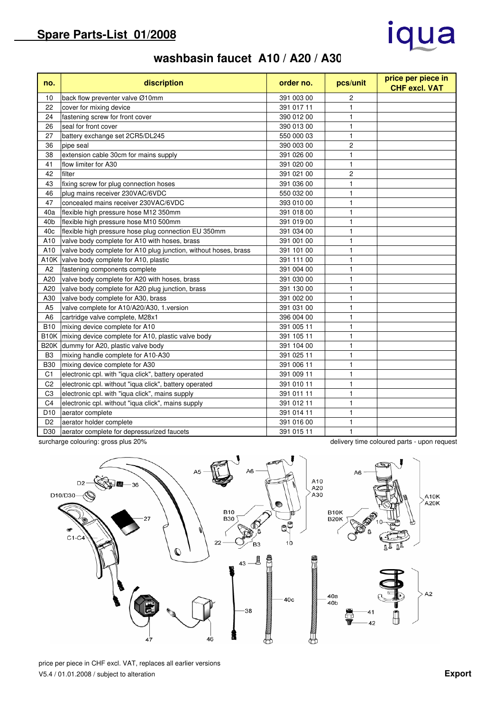# iqua

## **washbasin faucet A10 / A20 / A30**

| no.             | discription                                                     | order no.  | pcs/unit       | price per piece in<br><b>CHF excl. VAT</b> |
|-----------------|-----------------------------------------------------------------|------------|----------------|--------------------------------------------|
| 10              | back flow preventer valve Ø10mm                                 | 391 003 00 | $\overline{c}$ |                                            |
| 22              | cover for mixing device                                         | 391 017 11 | $\mathbf{1}$   |                                            |
| 24              | fastening screw for front cover                                 | 390 012 00 | $\mathbf{1}$   |                                            |
| 26              | seal for front cover                                            | 390 013 00 | 1              |                                            |
| 27              | battery exchange set 2CR5/DL245                                 | 550 000 03 | $\mathbf{1}$   |                                            |
| 36              | pipe seal                                                       | 390 003 00 | $\overline{2}$ |                                            |
| 38              | extension cable 30cm for mains supply                           | 391 026 00 | $\mathbf{1}$   |                                            |
| 41              | flow limiter for A30                                            | 391 020 00 | $\mathbf{1}$   |                                            |
| 42              | filter                                                          | 391 021 00 | 2              |                                            |
| 43              | fixing screw for plug connection hoses                          | 391 036 00 | $\mathbf{1}$   |                                            |
| 46              | plug mains receiver 230VAC/6VDC                                 | 550 032 00 | $\mathbf{1}$   |                                            |
| 47              | concealed mains receiver 230VAC/6VDC                            | 393 010 00 | $\mathbf{1}$   |                                            |
| 40a             | flexible high pressure hose M12 350mm                           | 391 018 00 | $\mathbf{1}$   |                                            |
| 40 <sub>b</sub> | flexible high pressure hose M10 500mm                           | 391 019 00 | $\mathbf{1}$   |                                            |
| 40 <sub>c</sub> | flexible high pressure hose plug connection EU 350mm            | 391 034 00 | $\mathbf{1}$   |                                            |
| A10             | valve body complete for A10 with hoses, brass                   | 391 001 00 | $\mathbf{1}$   |                                            |
| A10             | valve body complete for A10 plug junction, without hoses, brass | 391 101 00 | $\mathbf{1}$   |                                            |
| A10K            | valve body complete for A10, plastic                            | 391 111 00 | $\mathbf{1}$   |                                            |
| A2              | fastening components complete                                   | 391 004 00 | $\mathbf{1}$   |                                            |
| A20             | valve body complete for A20 with hoses, brass                   | 391 030 00 | $\mathbf{1}$   |                                            |
| A20             | valve body complete for A20 plug junction, brass                | 391 130 00 | 1              |                                            |
| A30             | valve body complete for A30, brass                              | 391 002 00 | $\mathbf{1}$   |                                            |
| A <sub>5</sub>  | valve complete for A10/A20/A30, 1.version                       | 391 031 00 | $\mathbf{1}$   |                                            |
| A <sub>6</sub>  | cartridge valve complete, M28x1                                 | 396 004 00 | $\mathbf{1}$   |                                            |
| <b>B10</b>      | mixing device complete for A10                                  | 391 005 11 | $\mathbf{1}$   |                                            |
|                 | B10K mixing device complete for A10, plastic valve body         | 391 105 11 | $\mathbf{1}$   |                                            |
|                 | B20K dummy for A20, plastic valve body                          | 391 104 00 | $\mathbf{1}$   |                                            |
| B <sub>3</sub>  | mixing handle complete for A10-A30                              | 391 025 11 | $\mathbf{1}$   |                                            |
| <b>B30</b>      | mixing device complete for A30                                  | 391 006 11 | $\mathbf{1}$   |                                            |
| C <sub>1</sub>  | electronic cpl. with "iqua click", battery operated             | 391 009 11 | $\mathbf{1}$   |                                            |
| C <sub>2</sub>  | electronic cpl. without "iqua click", battery operated          | 391 010 11 | $\mathbf{1}$   |                                            |
| C <sub>3</sub>  | electronic cpl. with "iqua click", mains supply                 | 391 011 11 | $\mathbf{1}$   |                                            |
| C <sub>4</sub>  | electronic cpl. without "iqua click", mains supply              | 391 012 11 | $\mathbf{1}$   |                                            |
| D <sub>10</sub> | aerator complete                                                | 391 014 11 | $\mathbf{1}$   |                                            |
| D <sub>2</sub>  | aerator holder complete                                         | 391 016 00 | $\mathbf{1}$   |                                            |
| D30             | aerator complete for depressurized faucets                      | 391 015 11 | $\mathbf{1}$   |                                            |

surcharge colouring: gross plus 20% delivery time coloured parts - upon request



price per piece in CHF excl. VAT, replaces all earlier versions V5.4 / 01.01.2008 / subject to alteration **Export**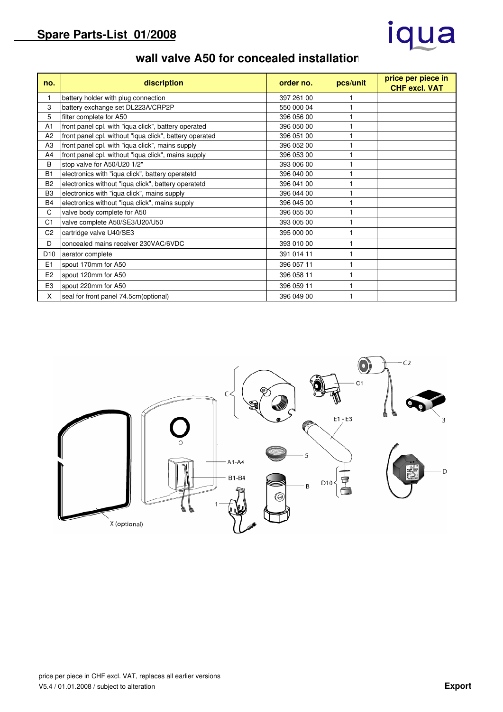## iqua

#### **wall valve A50 for concealed installation**

| no.             | discription                                             | order no.  | pcs/unit | price per piece in<br><b>CHF excl. VAT</b> |
|-----------------|---------------------------------------------------------|------------|----------|--------------------------------------------|
| $\mathbf{1}$    | battery holder with plug connection                     | 397 261 00 |          |                                            |
| 3               | battery exchange set DL223A/CRP2P                       | 550 000 04 |          |                                            |
| 5               | filter complete for A50                                 | 396 056 00 |          |                                            |
| A <sub>1</sub>  | front panel cpl. with "iqua click", battery operated    | 396 050 00 |          |                                            |
| A <sub>2</sub>  | front panel cpl. without "iqua click", battery operated | 396 051 00 |          |                                            |
| A <sub>3</sub>  | front panel cpl. with "iqua click", mains supply        | 396 052 00 |          |                                            |
| A4              | front panel cpl. without "iqua click", mains supply     | 396 053 00 |          |                                            |
| B               | stop valve for A50/U20 1/2"                             | 393 006 00 |          |                                            |
| <b>B1</b>       | electronics with "iqua click", battery operatetd        | 396 040 00 |          |                                            |
| B <sub>2</sub>  | electronics without "iqua click", battery operatetd     | 396 041 00 |          |                                            |
| B <sub>3</sub>  | electronics with "iqua click", mains supply             | 396 044 00 |          |                                            |
| <b>B4</b>       | electronics without "iqua click", mains supply          | 396 045 00 |          |                                            |
| C               | valve body complete for A50                             | 396 055 00 |          |                                            |
| C <sub>1</sub>  | valve complete A50/SE3/U20/U50                          | 393 005 00 |          |                                            |
| C <sub>2</sub>  | cartridge valve U40/SE3                                 | 395 000 00 |          |                                            |
| D               | concealed mains receiver 230VAC/6VDC                    | 393 010 00 |          |                                            |
| D <sub>10</sub> | aerator complete                                        | 391 014 11 |          |                                            |
| E1              | spout 170mm for A50                                     | 396 057 11 | 1        |                                            |
| E <sub>2</sub>  | spout 120mm for A50                                     | 396 058 11 | 1        |                                            |
| E <sub>3</sub>  | spout 220mm for A50                                     | 396 059 11 |          |                                            |
| X               | seal for front panel 74.5cm (optional)                  | 396 049 00 |          |                                            |

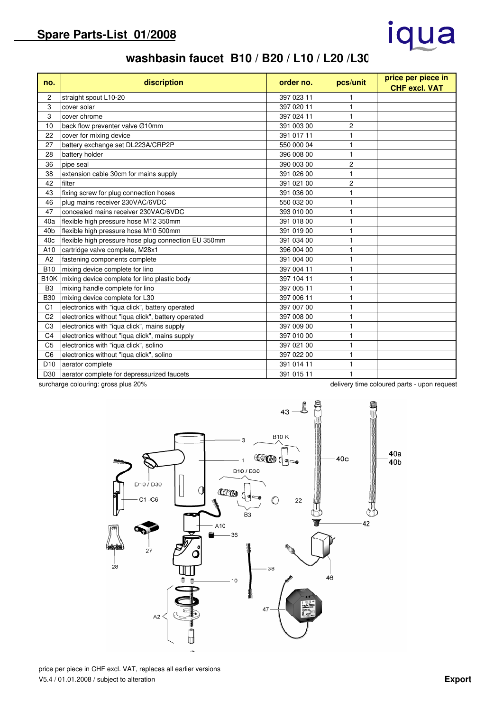# iqua

## **washbasin faucet B10 / B20 / L10 / L20 /L30**

| no.               | discription                                          | order no.  | pcs/unit       | price per piece in<br><b>CHF excl. VAT</b>  |
|-------------------|------------------------------------------------------|------------|----------------|---------------------------------------------|
| 2                 | straight spout L10-20                                | 397 023 11 |                |                                             |
| 3                 | cover solar                                          | 397 020 11 |                |                                             |
| 3                 | cover chrome                                         | 397 024 11 |                |                                             |
| 10                | back flow preventer valve Ø10mm                      | 391 003 00 | 2              |                                             |
| 22                | cover for mixing device                              | 391 017 11 |                |                                             |
| 27                | battery exchange set DL223A/CRP2P                    | 550 000 04 |                |                                             |
| 28                | battery holder                                       | 396 008 00 | 1              |                                             |
| 36                | pipe seal                                            | 390 003 00 | 2              |                                             |
| 38                | extension cable 30cm for mains supply                | 391 026 00 | 1              |                                             |
| 42                | filter                                               | 391 021 00 | $\overline{c}$ |                                             |
| 43                | fixing screw for plug connection hoses               | 391 036 00 |                |                                             |
| 46                | plug mains receiver 230VAC/6VDC                      | 550 032 00 |                |                                             |
| 47                | concealed mains receiver 230VAC/6VDC                 | 393 010 00 |                |                                             |
| 40a               | flexible high pressure hose M12 350mm                | 391 018 00 |                |                                             |
| 40 <sub>b</sub>   | flexible high pressure hose M10 500mm                | 391 019 00 |                |                                             |
| 40 <sub>c</sub>   | flexible high pressure hose plug connection EU 350mm | 391 034 00 |                |                                             |
| A10               | cartridge valve complete, M28x1                      | 396 004 00 | 1              |                                             |
| A2                | fastening components complete                        | 391 004 00 | 1              |                                             |
| <b>B10</b>        | mixing device complete for lino                      | 397 004 11 |                |                                             |
| B <sub>10</sub> K | mixing device complete for lino plastic body         | 397 104 11 |                |                                             |
| B <sub>3</sub>    | mixing handle complete for lino                      | 397 005 11 |                |                                             |
| <b>B30</b>        | mixing device complete for L30                       | 397 006 11 |                |                                             |
| C <sub>1</sub>    | electronics with "iqua click", battery operated      | 397 007 00 |                |                                             |
| C <sub>2</sub>    | electronics without "iqua click", battery operated   | 397 008 00 |                |                                             |
| C <sub>3</sub>    | electronics with "iqua click", mains supply          | 397 009 00 |                |                                             |
| C <sub>4</sub>    | electronics without "iqua click", mains supply       | 397 010 00 |                |                                             |
| C <sub>5</sub>    | electronics with "iqua click", solino                | 397 021 00 |                |                                             |
| C <sub>6</sub>    | electronics without "iqua click", solino             | 397 022 00 |                |                                             |
| D <sub>10</sub>   | aerator complete                                     | 391 014 11 |                |                                             |
| D30               | aerator complete for depressurized faucets           | 391 015 11 |                |                                             |
|                   | surcharge colouring: gross plus 20%                  |            |                | delivery time coloured parts - upon request |



price per piece in CHF excl. VAT, replaces all earlier versions V5.4 / 01.01.2008 / subject to alteration **Export**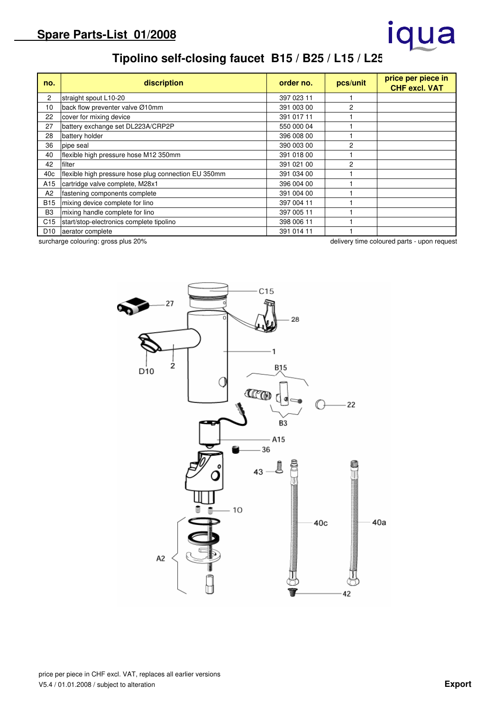# iqua

## **Tipolino self-closing faucet B15 / B25 / L15 / L25**

| no.             | discription                                          | order no.  | pcs/unit       | price per piece in<br><b>CHF excl. VAT</b> |
|-----------------|------------------------------------------------------|------------|----------------|--------------------------------------------|
| 2               | straight spout L10-20                                | 397 023 11 |                |                                            |
| 10              | back flow preventer valve Ø10mm                      | 391 003 00 | 2              |                                            |
| 22              | cover for mixing device                              | 391 017 11 |                |                                            |
| 27              | battery exchange set DL223A/CRP2P                    | 550 000 04 |                |                                            |
| 28              | battery holder                                       | 396 008 00 |                |                                            |
| 36              | pipe seal                                            | 390 003 00 | 2              |                                            |
| 40              | flexible high pressure hose M12 350mm                | 391 018 00 |                |                                            |
| 42              | filter                                               | 391 021 00 | $\overline{2}$ |                                            |
| 40c             | flexible high pressure hose plug connection EU 350mm | 391 034 00 |                |                                            |
| A15             | cartridge valve complete, M28x1                      | 396 004 00 |                |                                            |
| A2              | fastening components complete                        | 391 004 00 |                |                                            |
| B <sub>15</sub> | mixing device complete for lino                      | 397 004 11 |                |                                            |
| B <sub>3</sub>  | mixing handle complete for lino                      | 397 005 11 |                |                                            |
| C15             | start/stop-electronics complete tipolino             | 398 006 11 |                |                                            |
| D <sub>10</sub> | aerator complete                                     | 391 014 11 |                |                                            |

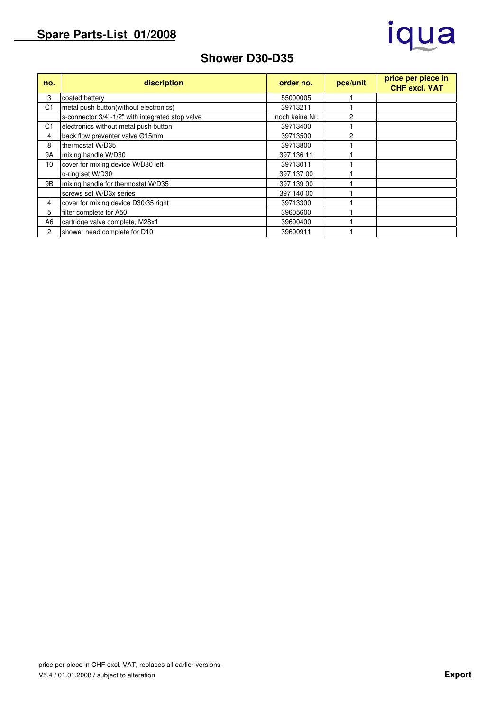## iqua

### **Shower D30-D35**

| no.            | discription                                      | order no.      | pcs/unit | price per piece in<br><b>CHF excl. VAT</b> |
|----------------|--------------------------------------------------|----------------|----------|--------------------------------------------|
| 3              | coated battery                                   | 55000005       |          |                                            |
| C <sub>1</sub> | metal push button(without electronics)           | 39713211       |          |                                            |
|                | s-connector 3/4"-1/2" with integrated stop valve | noch keine Nr. | 2        |                                            |
| C <sub>1</sub> | electronics without metal push button            | 39713400       |          |                                            |
| 4              | back flow preventer valve Ø15mm                  | 39713500       | 2        |                                            |
| 8              | thermostat W/D35                                 | 39713800       |          |                                            |
| <b>9A</b>      | mixing handle W/D30                              | 397 136 11     |          |                                            |
| 10             | cover for mixing device W/D30 left               | 39713011       |          |                                            |
|                | o-ring set W/D30                                 | 397 137 00     |          |                                            |
| 9Β             | mixing handle for thermostat W/D35               | 397 139 00     |          |                                            |
|                | screws set W/D3x series                          | 397 140 00     |          |                                            |
| 4              | cover for mixing device D30/35 right             | 39713300       |          |                                            |
| 5              | filter complete for A50                          | 39605600       |          |                                            |
| A <sub>6</sub> | cartridge valve complete, M28x1                  | 39600400       |          |                                            |
| $\overline{2}$ | shower head complete for D10                     | 39600911       |          |                                            |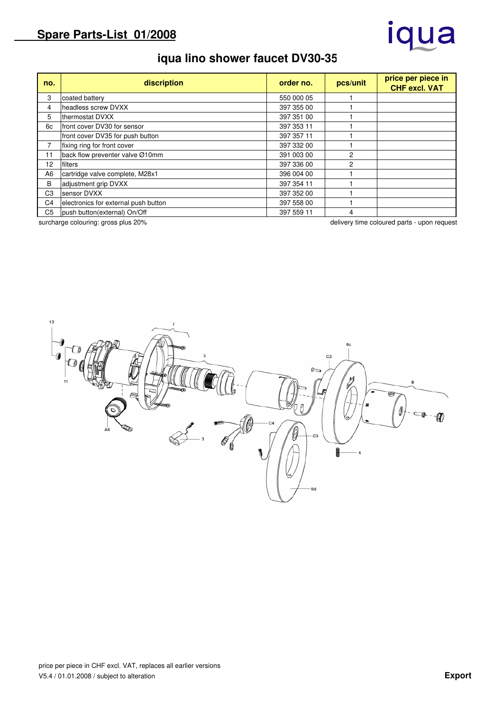## iqua

## **iqua lino shower faucet DV30-35**

| no.            | discription                          | order no.  | pcs/unit | price per piece in<br><b>CHF excl. VAT</b> |
|----------------|--------------------------------------|------------|----------|--------------------------------------------|
| 3              | coated battery                       | 550 000 05 |          |                                            |
| 4              | headless screw DVXX                  | 397 355 00 |          |                                            |
| 5              | thermostat DVXX                      | 397 351 00 |          |                                            |
| 6c             | front cover DV30 for sensor          | 397 353 11 |          |                                            |
|                | front cover DV35 for push button     | 397 357 11 |          |                                            |
| 7              | fixing ring for front cover          | 397 332 00 |          |                                            |
| 11             | back flow preventer valve Ø10mm      | 391 003 00 | 2        |                                            |
| 12             | filters                              | 397 336 00 | 2        |                                            |
| A <sub>6</sub> | cartridge valve complete, M28x1      | 396 004 00 |          |                                            |
| B              | adjustment grip DVXX                 | 397 354 11 |          |                                            |
| C <sub>3</sub> | sensor DVXX                          | 397 352 00 |          |                                            |
| C <sub>4</sub> | electronics for external push button | 397 558 00 |          |                                            |
| C <sub>5</sub> | push button(external) On/Off         | 397 559 11 | 4        |                                            |

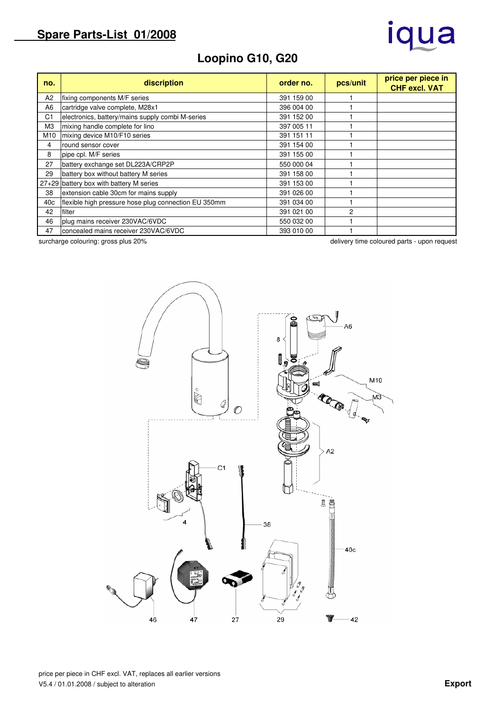# iqua

## **Loopino G10, G20**

| no.            | discription                                          | order no.  | pcs/unit | price per piece in<br><b>CHF excl. VAT</b> |
|----------------|------------------------------------------------------|------------|----------|--------------------------------------------|
| A <sub>2</sub> | fixing components M/F series                         | 391 159 00 |          |                                            |
| A6             | cartridge valve complete, M28x1                      | 396 004 00 |          |                                            |
| C <sub>1</sub> | electronics, battery/mains supply combi M-series     | 391 152 00 |          |                                            |
| M <sub>3</sub> | mixing handle complete for lino                      | 397 005 11 |          |                                            |
| M10            | mixing device M10/F10 series                         | 391 151 11 |          |                                            |
| 4              | round sensor cover                                   | 391 154 00 |          |                                            |
| 8              | pipe cpl. M/F series                                 | 391 155 00 |          |                                            |
| 27             | battery exchange set DL223A/CRP2P                    | 550 000 04 |          |                                            |
| 29             | battery box without battery M series                 | 391 158 00 |          |                                            |
|                | 27+29 battery box with battery M series              | 391 153 00 |          |                                            |
| 38             | extension cable 30cm for mains supply                | 391 026 00 |          |                                            |
| 40c            | flexible high pressure hose plug connection EU 350mm | 391 034 00 |          |                                            |
| 42             | filter                                               | 391 021 00 | 2        |                                            |
| 46             | plug mains receiver 230VAC/6VDC                      | 550 032 00 |          |                                            |
| 47             | concealed mains receiver 230VAC/6VDC                 | 393 010 00 |          |                                            |

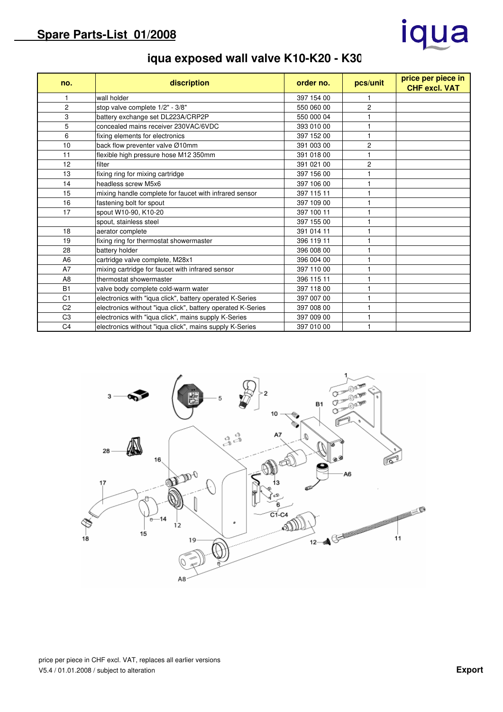## iqua

## **iqua exposed wall valve K10-K20 - K30**

| no.            | discription                                                 | order no.  | pcs/unit       | price per piece in<br><b>CHF excl. VAT</b> |
|----------------|-------------------------------------------------------------|------------|----------------|--------------------------------------------|
|                | wall holder                                                 | 397 154 00 |                |                                            |
| $\overline{c}$ | stop valve complete 1/2" - 3/8"                             | 550 060 00 | $\overline{c}$ |                                            |
| 3              | battery exchange set DL223A/CRP2P                           | 550 000 04 |                |                                            |
| 5              | concealed mains receiver 230VAC/6VDC                        | 393 010 00 |                |                                            |
| 6              | fixing elements for electronics                             | 397 152 00 |                |                                            |
| 10             | back flow preventer valve Ø10mm                             | 391 003 00 | 2              |                                            |
| 11             | flexible high pressure hose M12 350mm                       | 391 018 00 |                |                                            |
| 12             | filter                                                      | 391 021 00 | 2              |                                            |
| 13             | fixing ring for mixing cartridge                            | 397 156 00 |                |                                            |
| 14             | headless screw M5x6                                         | 397 106 00 |                |                                            |
| 15             | mixing handle complete for faucet with infrared sensor      | 397 115 11 |                |                                            |
| 16             | fastening bolt for spout                                    | 397 109 00 |                |                                            |
| 17             | spout W10-90, K10-20                                        | 397 100 11 |                |                                            |
|                | spout, stainless steel                                      | 397 155 00 |                |                                            |
| 18             | aerator complete                                            | 391 014 11 |                |                                            |
| 19             | fixing ring for thermostat showermaster                     | 396 119 11 |                |                                            |
| 28             | battery holder                                              | 396 008 00 |                |                                            |
| A <sub>6</sub> | cartridge valve complete, M28x1                             | 396 004 00 |                |                                            |
| A7             | mixing cartridge for faucet with infrared sensor            | 397 110 00 |                |                                            |
| A <sub>8</sub> | thermostat showermaster                                     | 396 115 11 |                |                                            |
| <b>B1</b>      | valve body complete cold-warm water                         | 397 118 00 |                |                                            |
| C <sub>1</sub> | electronics with "iqua click", battery operated K-Series    | 397 007 00 |                |                                            |
| C <sub>2</sub> | electronics without "iqua click", battery operated K-Series | 397 008 00 |                |                                            |
| C <sub>3</sub> | electronics with "iqua click", mains supply K-Series        | 397 009 00 |                |                                            |
| C <sub>4</sub> | electronics without "iqua click", mains supply K-Series     | 397 010 00 |                |                                            |

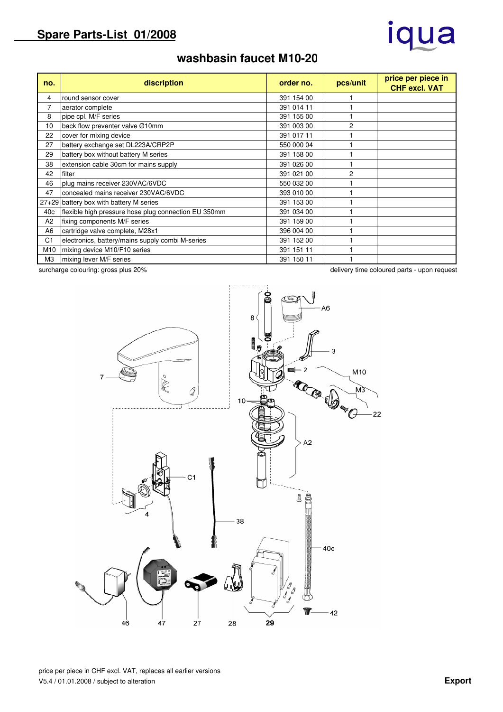# iqua

## **washbasin faucet M10-20**

| no.             | discription                                          | order no.  | pcs/unit       | price per piece in<br><b>CHF excl. VAT</b> |
|-----------------|------------------------------------------------------|------------|----------------|--------------------------------------------|
| 4               | round sensor cover                                   | 391 154 00 |                |                                            |
| 7               | aerator complete                                     | 391 014 11 |                |                                            |
| 8               | pipe cpl. M/F series                                 | 391 155 00 |                |                                            |
| 10              | back flow preventer valve Ø10mm                      | 391 003 00 | 2              |                                            |
| 22              | cover for mixing device                              | 391 017 11 |                |                                            |
| 27              | battery exchange set DL223A/CRP2P                    | 550 000 04 |                |                                            |
| 29              | battery box without battery M series                 | 391 158 00 |                |                                            |
| 38              | extension cable 30cm for mains supply                | 391 026 00 |                |                                            |
| 42              | filter                                               | 391 021 00 | $\overline{c}$ |                                            |
| 46              | plug mains receiver 230VAC/6VDC                      | 550 032 00 |                |                                            |
| 47              | concealed mains receiver 230VAC/6VDC                 | 393 010 00 |                |                                            |
|                 | 27+29 battery box with battery M series              | 391 153 00 |                |                                            |
| 40 <sub>c</sub> | flexible high pressure hose plug connection EU 350mm | 391 034 00 |                |                                            |
| A <sub>2</sub>  | fixing components M/F series                         | 391 159 00 |                |                                            |
| A <sub>6</sub>  | cartridge valve complete, M28x1                      | 396 004 00 |                |                                            |
| C1              | electronics, battery/mains supply combi M-series     | 391 152 00 |                |                                            |
| M10             | mixing device M10/F10 series                         | 391 151 11 |                |                                            |
| ΜЗ              | mixing lever M/F series                              | 391 150 11 |                |                                            |

A6 8 ratura  $\mathbf{\hat{z}}$  $\mathcal{P}$ M10  $\circ$ **COOP** ⊵ Q мš  $10<sup>1</sup>$  $22$  $A<sub>2</sub>$  $C<sub>1</sub>$ l E 38 40c T

G

29

 $-42$ 

surcharge colouring: gross plus 20% delivery time coloured parts - upon request

 $46$ 

 $47$ 

 $27$ 

 $28$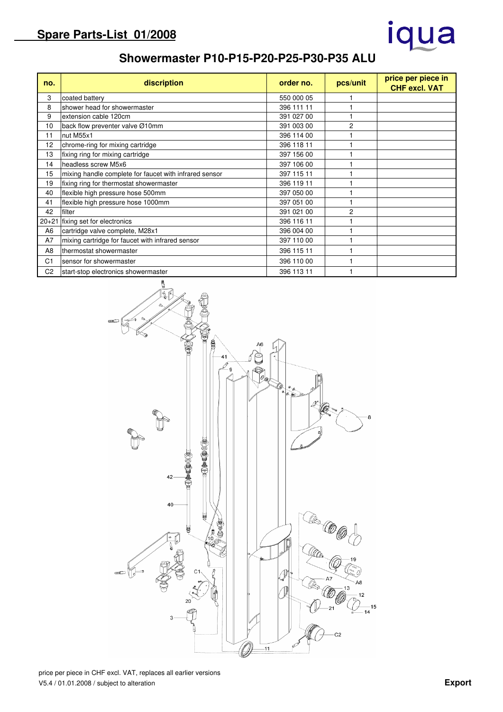# iqua

#### **Showermaster P10-P15-P20-P25-P30-P35 ALU**

| no.            | discription                                            | order no.  | pcs/unit       | price per piece in<br><b>CHF excl. VAT</b> |
|----------------|--------------------------------------------------------|------------|----------------|--------------------------------------------|
| 3              | coated battery                                         | 550 000 05 |                |                                            |
| 8              | shower head for showermaster                           | 396 111 11 |                |                                            |
| 9              | extension cable 120cm                                  | 391 027 00 |                |                                            |
| 10             | back flow preventer valve Ø10mm                        | 391 003 00 | 2              |                                            |
| 11             | nut M55x1                                              | 396 114 00 |                |                                            |
| 12             | chrome-ring for mixing cartridge                       | 396 118 11 |                |                                            |
| 13             | fixing ring for mixing cartridge                       | 397 156 00 |                |                                            |
| 14             | headless screw M5x6                                    | 397 106 00 |                |                                            |
| 15             | mixing handle complete for faucet with infrared sensor | 397 115 11 |                |                                            |
| 19             | fixing ring for thermostat showermaster                | 396 119 11 |                |                                            |
| 40             | flexible high pressure hose 500mm                      | 397 050 00 |                |                                            |
| 41             | flexible high pressure hose 1000mm                     | 397 051 00 |                |                                            |
| 42             | filter                                                 | 391 021 00 | $\overline{c}$ |                                            |
| $20 + 21$      | fixing set for electronics                             | 396 116 11 |                |                                            |
| A <sub>6</sub> | cartridge valve complete, M28x1                        | 396 004 00 |                |                                            |
| A7             | mixing cartridge for faucet with infrared sensor       | 397 110 00 |                |                                            |
| A <sub>8</sub> | thermostat showermaster                                | 396 115 11 |                |                                            |
| C <sub>1</sub> | sensor for showermaster                                | 396 110 00 |                |                                            |
| C <sub>2</sub> | start-stop electronics showermaster                    | 396 113 11 |                |                                            |

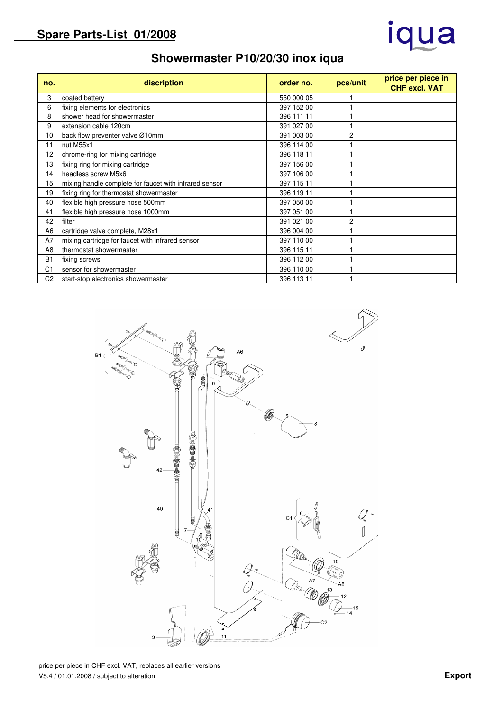## iqua

## **Showermaster P10/20/30 inox iqua**

| no.            | discription                                            | order no.  | pcs/unit       | price per piece in<br><b>CHF excl. VAT</b> |
|----------------|--------------------------------------------------------|------------|----------------|--------------------------------------------|
| 3              | coated battery                                         | 550 000 05 |                |                                            |
| 6              | fixing elements for electronics                        | 397 152 00 |                |                                            |
| 8              | shower head for showermaster                           | 396 111 11 |                |                                            |
| 9              | extension cable 120cm                                  | 391 027 00 |                |                                            |
| 10             | back flow preventer valve Ø10mm                        | 391 003 00 | 2              |                                            |
| 11             | nut M55x1                                              | 396 114 00 |                |                                            |
| 12             | chrome-ring for mixing cartridge                       | 396 118 11 |                |                                            |
| 13             | fixing ring for mixing cartridge                       | 397 156 00 |                |                                            |
| 14             | headless screw M5x6                                    | 397 106 00 |                |                                            |
| 15             | mixing handle complete for faucet with infrared sensor | 397 115 11 |                |                                            |
| 19             | fixing ring for thermostat showermaster                | 396 119 11 |                |                                            |
| 40             | flexible high pressure hose 500mm                      | 397 050 00 |                |                                            |
| 41             | flexible high pressure hose 1000mm                     | 397 051 00 |                |                                            |
| 42             | filter                                                 | 391 021 00 | $\overline{c}$ |                                            |
| A <sub>6</sub> | cartridge valve complete, M28x1                        | 396 004 00 |                |                                            |
| A7             | mixing cartridge for faucet with infrared sensor       | 397 110 00 |                |                                            |
| A <sub>8</sub> | thermostat showermaster                                | 396 115 11 |                |                                            |
| <b>B1</b>      | fixing screws                                          | 396 112 00 |                |                                            |
| C <sub>1</sub> | sensor for showermaster                                | 396 110 00 |                |                                            |
| C <sub>2</sub> | start-stop electronics showermaster                    | 396 113 11 |                |                                            |



price per piece in CHF excl. VAT, replaces all earlier versions V5.4 / 01.01.2008 / subject to alteration **Export**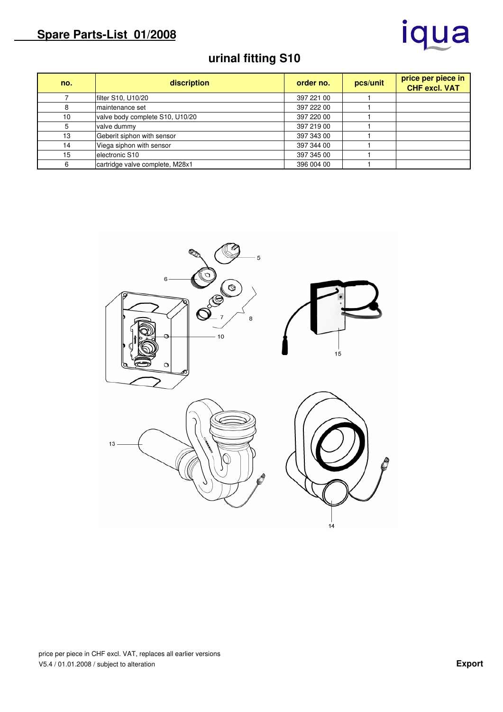# iqua

## **urinal fitting S10**

| no. | discription                     | order no.  | pcs/unit | price per piece in<br><b>CHF excl. VAT</b> |
|-----|---------------------------------|------------|----------|--------------------------------------------|
|     | filter S10, U10/20              | 397 221 00 |          |                                            |
| 8   | maintenance set                 | 397 222 00 |          |                                            |
| 10  | valve body complete S10, U10/20 | 397 220 00 |          |                                            |
|     | valve dummy                     | 397 219 00 |          |                                            |
| 13  | Geberit siphon with sensor      | 397 343 00 |          |                                            |
| 14  | Viega siphon with sensor        | 397 344 00 |          |                                            |
| 15  | electronic S10                  | 397 345 00 |          |                                            |
|     | cartridge valve complete, M28x1 | 396 004 00 |          |                                            |

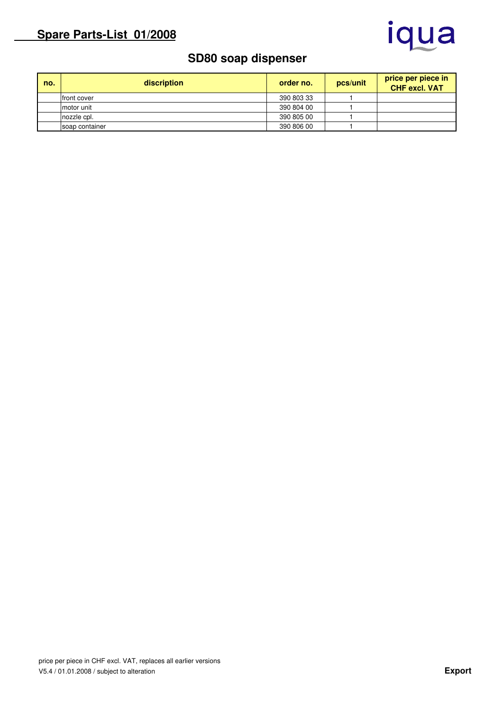

#### **SD80 soap dispenser**

| no. | discription    | order no.  | pcs/unit | price per piece in<br><b>CHF excl. VAT</b> |
|-----|----------------|------------|----------|--------------------------------------------|
|     | front cover    | 390 803 33 |          |                                            |
|     | motor unit     | 390 804 00 |          |                                            |
|     | nozzle cpl.    | 390 805 00 |          |                                            |
|     | soap container | 390 806 00 |          |                                            |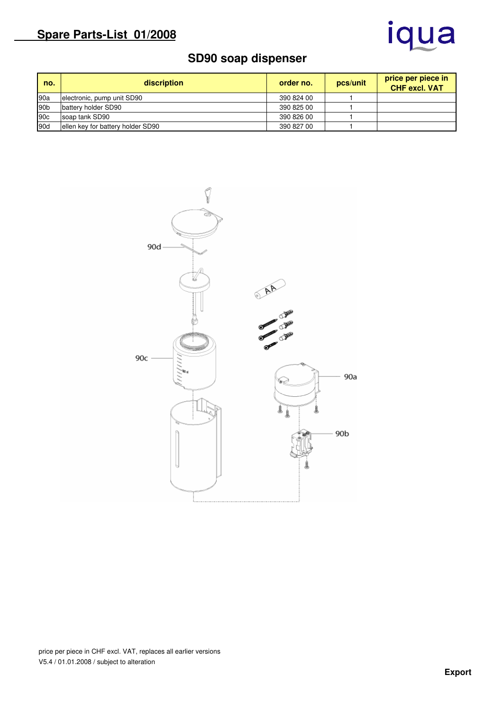## iqua

### **SD90 soap dispenser**

| no.             | discription                       | order no.  | pcs/unit | price per piece in<br><b>CHF excl. VAT</b> |
|-----------------|-----------------------------------|------------|----------|--------------------------------------------|
| 90a             | electronic, pump unit SD90        | 390 824 00 |          |                                            |
| 90b             | battery holder SD90               | 390 825 00 |          |                                            |
| 90 <sub>c</sub> | soap tank SD90                    | 390 826 00 |          |                                            |
| 90d             | ellen key for battery holder SD90 | 390 827 00 |          |                                            |



price per piece in CHF excl. VAT, replaces all earlier versions V5.4 / 01.01.2008 / subject to alteration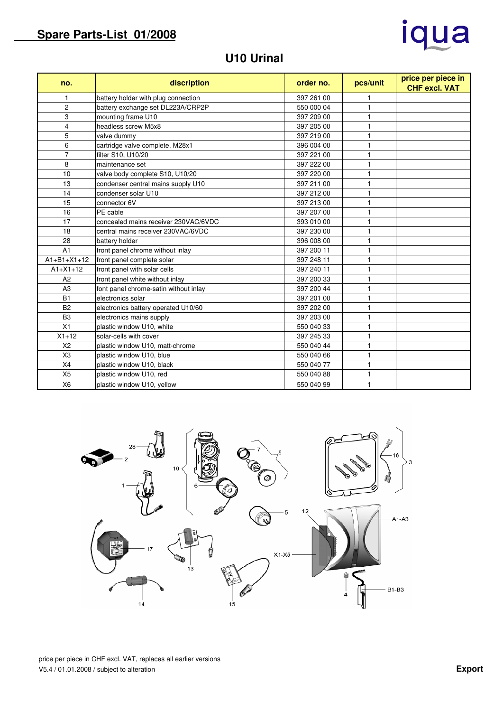# iqua

### **U10 Urinal**

| no.            | discription                           | order no.  | pcs/unit     | price per piece in<br><b>CHF excl. VAT</b> |
|----------------|---------------------------------------|------------|--------------|--------------------------------------------|
| 1              | battery holder with plug connection   | 397 261 00 |              |                                            |
| $\overline{2}$ | battery exchange set DL223A/CRP2P     | 550 000 04 | $\mathbf{1}$ |                                            |
| 3              | mounting frame U10                    | 397 209 00 | $\mathbf{1}$ |                                            |
| $\overline{4}$ | headless screw M5x8                   | 397 205 00 | 1            |                                            |
| 5              | valve dummy                           | 397 219 00 | 1            |                                            |
| 6              | cartridge valve complete, M28x1       | 396 004 00 | 1            |                                            |
| $\overline{7}$ | filter S10, U10/20                    | 397 221 00 | 1            |                                            |
| 8              | maintenance set                       | 397 222 00 | 1            |                                            |
| 10             | valve body complete S10, U10/20       | 397 220 00 | 1            |                                            |
| 13             | condenser central mains supply U10    | 397 211 00 | 1            |                                            |
| 14             | condenser solar U10                   | 397 212 00 |              |                                            |
| 15             | connector 6V                          | 397 213 00 |              |                                            |
| 16             | PE cable                              | 397 207 00 | 1            |                                            |
| 17             | concealed mains receiver 230VAC/6VDC  | 393 010 00 | 1            |                                            |
| 18             | central mains receiver 230VAC/6VDC    | 397 230 00 | 1            |                                            |
| 28             | battery holder                        | 396 008 00 | 1            |                                            |
| A <sub>1</sub> | front panel chrome without inlay      | 397 200 11 | 1            |                                            |
| $A1+B1+X1+12$  | front panel complete solar            | 397 248 11 | 1            |                                            |
| $A1 + X1 + 12$ | front panel with solar cells          | 397 240 11 | 1            |                                            |
| A2             | front panel white without inlay       | 397 200 33 | 1            |                                            |
| A3             | font panel chrome-satin without inlay | 397 200 44 | 1            |                                            |
| <b>B1</b>      | electronics solar                     | 397 201 00 | 1            |                                            |
| B <sub>2</sub> | electronics battery operated U10/60   | 397 202 00 |              |                                            |
| B <sub>3</sub> | electronics mains supply              | 397 203 00 |              |                                            |
| X1             | plastic window U10, white             | 550 040 33 |              |                                            |
| $X1 + 12$      | solar-cells with cover                | 397 245 33 |              |                                            |
| X <sub>2</sub> | plastic window U10, matt-chrome       | 550 040 44 | $\mathbf{1}$ |                                            |
| X <sub>3</sub> | plastic window U10, blue              | 550 040 66 | $\mathbf{1}$ |                                            |
| X4             | plastic window U10, black             | 550 040 77 | $\mathbf{1}$ |                                            |
| X <sub>5</sub> | plastic window U10, red               | 550 040 88 | 1            |                                            |
| X <sub>6</sub> | plastic window U10, yellow            | 550 040 99 | $\mathbf{1}$ |                                            |



price per piece in CHF excl. VAT, replaces all earlier versions V5.4 / 01.01.2008 / subject to alteration **Export**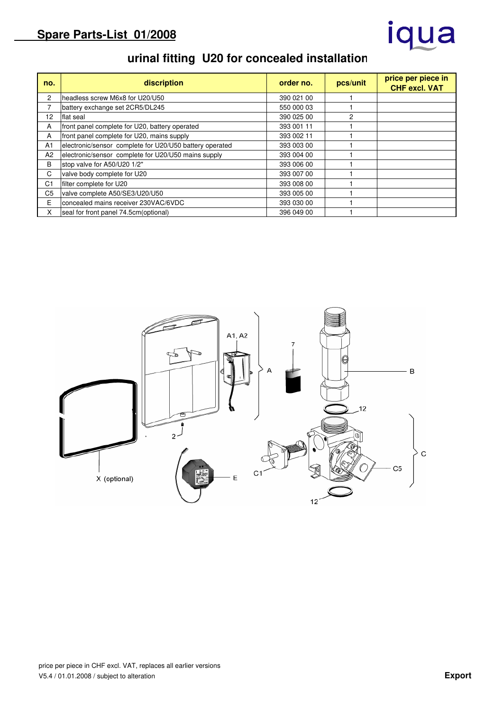## iqua

## **urinal fitting U20 for concealed installation**

| no.            | discription                                             | order no.  | pcs/unit | price per piece in<br><b>CHF excl. VAT</b> |
|----------------|---------------------------------------------------------|------------|----------|--------------------------------------------|
| $\overline{c}$ | headless screw M6x8 for U20/U50                         | 390 021 00 |          |                                            |
| 7              | battery exchange set 2CR5/DL245                         | 550 000 03 |          |                                            |
| 12             | lflat seal                                              | 390 025 00 | 2        |                                            |
| A              | front panel complete for U20, battery operated          | 393 001 11 |          |                                            |
| A              | front panel complete for U20, mains supply              | 393 002 11 |          |                                            |
| A <sub>1</sub> | electronic/sensor complete for U20/U50 battery operated | 393 003 00 |          |                                            |
| A2             | electronic/sensor complete for U20/U50 mains supply     | 393 004 00 |          |                                            |
| В              | stop valve for A50/U20 1/2"                             | 393 006 00 |          |                                            |
| C              | valve body complete for U20                             | 393 007 00 |          |                                            |
| C <sub>1</sub> | filter complete for U20                                 | 393 008 00 |          |                                            |
| C <sub>5</sub> | valve complete A50/SE3/U20/U50                          | 393 005 00 |          |                                            |
| E              | concealed mains receiver 230VAC/6VDC                    | 393 030 00 |          |                                            |
| X              | seal for front panel 74.5cm (optional)                  | 396 049 00 |          |                                            |

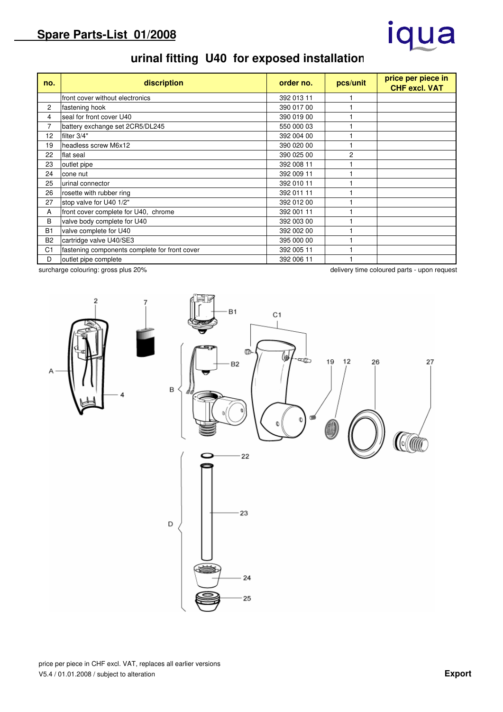# iqua

## **urinal fitting U40 for exposed installation**

| no.            | discription                                   | order no.  | pcs/unit       | price per piece in<br><b>CHF excl. VAT</b> |
|----------------|-----------------------------------------------|------------|----------------|--------------------------------------------|
|                | front cover without electronics               | 392 013 11 |                |                                            |
| 2              | fastening hook                                | 390 017 00 |                |                                            |
| 4              | seal for front cover U40                      | 390 019 00 |                |                                            |
| 7              | battery exchange set 2CR5/DL245               | 550 000 03 |                |                                            |
| 12             | filter 3/4"                                   | 392 004 00 |                |                                            |
| 19             | headless screw M6x12                          | 390 020 00 |                |                                            |
| 22             | flat seal                                     | 390 025 00 | $\overline{c}$ |                                            |
| 23             | outlet pipe                                   | 392 008 11 |                |                                            |
| 24             | cone nut                                      | 392 009 11 |                |                                            |
| 25             | urinal connector                              | 392 010 11 |                |                                            |
| 26             | rosette with rubber ring                      | 392 011 11 |                |                                            |
| 27             | stop valve for U40 1/2"                       | 392 012 00 |                |                                            |
| A              | front cover complete for U40, chrome          | 392 001 11 |                |                                            |
| B              | valve body complete for U40                   | 392 003 00 |                |                                            |
| <b>B1</b>      | valve complete for U40                        | 392 002 00 |                |                                            |
| B <sub>2</sub> | cartridge valve U40/SE3                       | 395 000 00 |                |                                            |
| C <sub>1</sub> | fastening components complete for front cover | 392 005 11 |                |                                            |
| D              | outlet pipe complete                          | 392 006 11 |                |                                            |

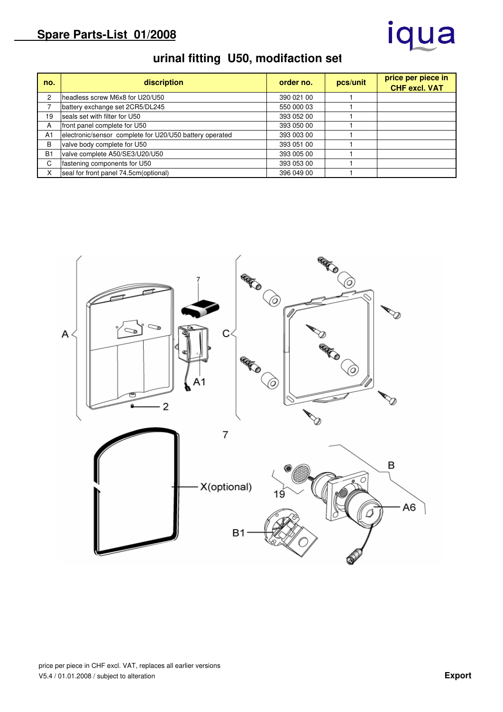## iqua

## **urinal fitting U50, modifaction set**

| no.            | discription                                             | order no.  | pcs/unit | price per piece in<br><b>CHF excl. VAT</b> |
|----------------|---------------------------------------------------------|------------|----------|--------------------------------------------|
| 2              | headless screw M6x8 for U20/U50                         | 390 021 00 |          |                                            |
|                | battery exchange set 2CR5/DL245                         | 550 000 03 |          |                                            |
| 19             | seals set with filter for U50                           | 393 052 00 |          |                                            |
| A              | front panel complete for U50                            | 393 050 00 |          |                                            |
| A <sub>1</sub> | electronic/sensor complete for U20/U50 battery operated | 393 003 00 |          |                                            |
| B              | valve body complete for U50                             | 393 051 00 |          |                                            |
| <b>B1</b>      | valve complete A50/SE3/U20/U50                          | 393 005 00 |          |                                            |
| C              | fastening components for U50                            | 393 053 00 |          |                                            |
| X              | seal for front panel 74.5cm (optional)                  | 396 049 00 |          |                                            |

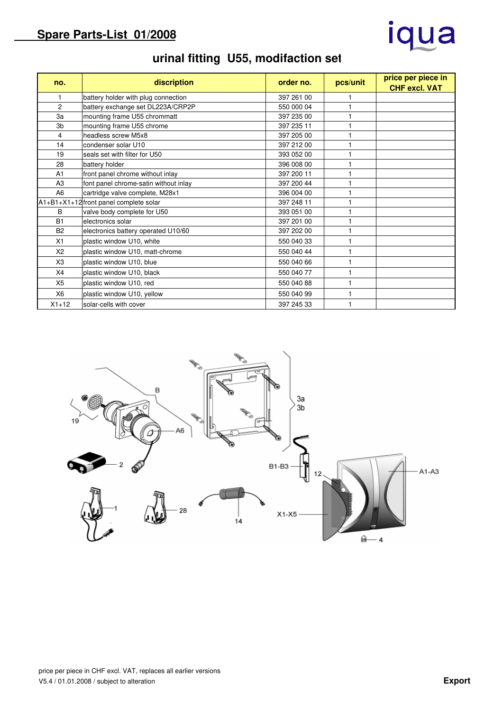# iqua

| no.            | discription                              | order no.  | pcs/unit | price per piece in<br><b>CHF excl. VAT</b> |
|----------------|------------------------------------------|------------|----------|--------------------------------------------|
| 1              | battery holder with plug connection      | 397 261 00 |          |                                            |
| 2              | battery exchange set DL223A/CRP2P        | 550 000 04 |          |                                            |
| 3a             | mounting frame U55 chrommatt             | 397 235 00 |          |                                            |
| 3 <sub>b</sub> | mounting frame U55 chrome                | 397 235 11 |          |                                            |
| 4              | headless screw M5x8                      | 397 205 00 |          |                                            |
| 14             | condenser solar U10                      | 397 212 00 |          |                                            |
| 19             | seals set with filter for U50            | 393 052 00 |          |                                            |
| 28             | battery holder                           | 396 008 00 |          |                                            |
| A <sub>1</sub> | front panel chrome without inlay         | 397 200 11 |          |                                            |
| A <sub>3</sub> | font panel chrome-satin without inlay    | 397 200 44 |          |                                            |
| A <sub>6</sub> | cartridge valve complete, M28x1          | 396 004 00 |          |                                            |
|                | $A1+B1+X1+12$ front panel complete solar | 397 248 11 |          |                                            |
| В              | valve body complete for U50              | 393 051 00 |          |                                            |
| <b>B1</b>      | electronics solar                        | 397 201 00 |          |                                            |
| B <sub>2</sub> | electronics battery operated U10/60      | 397 202 00 |          |                                            |
| X1             | plastic window U10, white                | 550 040 33 |          |                                            |
| X <sub>2</sub> | plastic window U10, matt-chrome          | 550 040 44 |          |                                            |
| X3             | plastic window U10, blue                 | 550 040 66 |          |                                            |
| X4             | plastic window U10, black                | 550 040 77 |          |                                            |
| X <sub>5</sub> | plastic window U10, red                  | 550 040 88 |          |                                            |
| X <sub>6</sub> | plastic window U10, yellow               | 550 040 99 |          |                                            |
| $X1 + 12$      | solar-cells with cover                   | 397 245 33 |          |                                            |

## **urinal fitting U55, modifaction set**

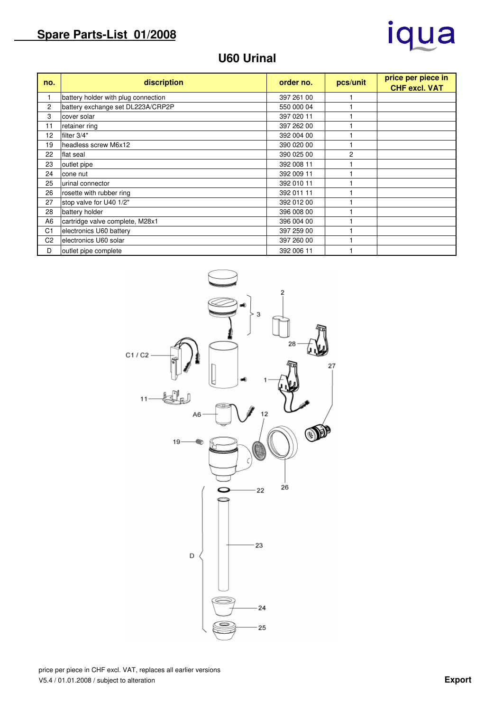

### **U60 Urinal**

| no.            | discription                         | order no.  | pcs/unit | price per piece in<br><b>CHF excl. VAT</b> |
|----------------|-------------------------------------|------------|----------|--------------------------------------------|
|                | battery holder with plug connection | 397 261 00 |          |                                            |
| 2              | battery exchange set DL223A/CRP2P   | 550 000 04 |          |                                            |
| 3              | cover solar                         | 397 020 11 |          |                                            |
| 11             | retainer ring                       | 397 262 00 |          |                                            |
| 12             | filter 3/4"                         | 392 004 00 |          |                                            |
| 19             | headless screw M6x12                | 390 020 00 |          |                                            |
| 22             | flat seal                           | 390 025 00 | 2        |                                            |
| 23             | outlet pipe                         | 392 008 11 |          |                                            |
| 24             | cone nut                            | 392 009 11 |          |                                            |
| 25             | urinal connector                    | 392 010 11 |          |                                            |
| 26             | rosette with rubber ring            | 392 011 11 |          |                                            |
| 27             | stop valve for U40 1/2"             | 392 012 00 |          |                                            |
| 28             | battery holder                      | 396 008 00 |          |                                            |
| A <sub>6</sub> | cartridge valve complete, M28x1     | 396 004 00 |          |                                            |
| C <sub>1</sub> | electronics U60 battery             | 397 259 00 |          |                                            |
| C <sub>2</sub> | electronics U60 solar               | 397 260 00 |          |                                            |
| D              | outlet pipe complete                | 392 006 11 |          |                                            |

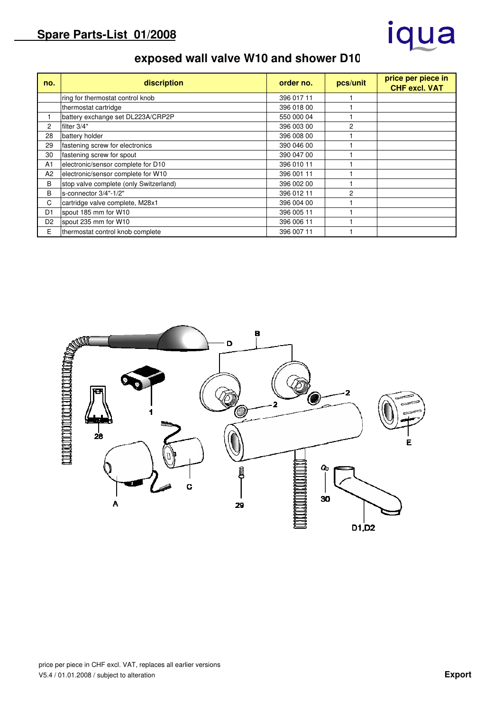# iqua

## **exposed wall valve W10 and shower D10**

| no.            | discription                            | order no.  | pcs/unit | price per piece in<br><b>CHF excl. VAT</b> |
|----------------|----------------------------------------|------------|----------|--------------------------------------------|
|                | ring for thermostat control knob       | 396 017 11 |          |                                            |
|                | thermostat cartridge                   | 396 018 00 |          |                                            |
|                | battery exchange set DL223A/CRP2P      | 550 000 04 |          |                                            |
| 2              | filter 3/4"                            | 396 003 00 | 2        |                                            |
| 28             | battery holder                         | 396 008 00 |          |                                            |
| 29             | fastening screw for electronics        | 390 046 00 |          |                                            |
| 30             | fastening screw for spout              | 390 047 00 |          |                                            |
| A <sub>1</sub> | electronic/sensor complete for D10     | 396 010 11 |          |                                            |
| A2             | electronic/sensor complete for W10     | 396 001 11 |          |                                            |
| B              | stop valve complete (only Switzerland) | 396 002 00 |          |                                            |
| B              | s-connector 3/4"-1/2"                  | 396 012 11 | 2        |                                            |
| C              | cartridge valve complete, M28x1        | 396 004 00 |          |                                            |
| D <sub>1</sub> | spout 185 mm for W10                   | 396 005 11 |          |                                            |
| D <sub>2</sub> | spout 235 mm for W10                   | 396 006 11 |          |                                            |
| E              | thermostat control knob complete       | 396 007 11 |          |                                            |

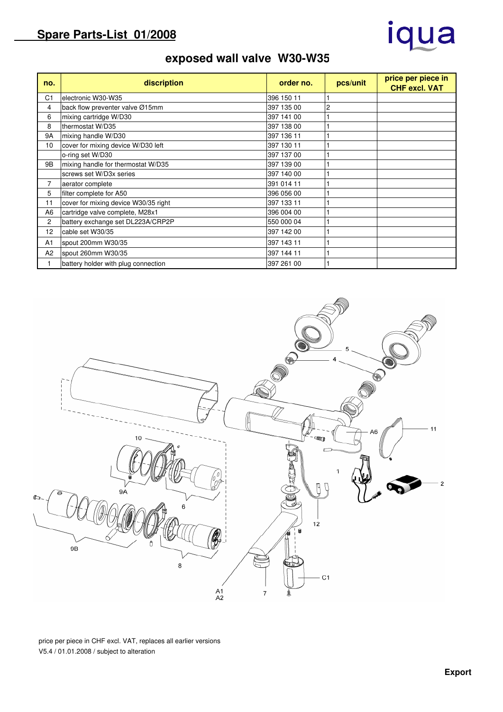# iqua

## **exposed wall valve W30-W35**

| no.            | discription                          | order no.  | pcs/unit | price per piece in<br><b>CHF excl. VAT</b> |
|----------------|--------------------------------------|------------|----------|--------------------------------------------|
| C1             | electronic W30-W35                   | 396 150 11 |          |                                            |
| 4              | back flow preventer valve Ø15mm      | 397 135 00 | 2        |                                            |
| 6              | mixing cartridge W/D30               | 397 141 00 |          |                                            |
| 8              | thermostat W/D35                     | 397 138 00 |          |                                            |
| <b>9A</b>      | mixing handle W/D30                  | 397 136 11 |          |                                            |
| 10             | cover for mixing device W/D30 left   | 397 130 11 |          |                                            |
|                | o-ring set W/D30                     | 397 137 00 |          |                                            |
| 9B             | mixing handle for thermostat W/D35   | 397 139 00 |          |                                            |
|                | screws set W/D3x series              | 397 140 00 |          |                                            |
| $\overline{7}$ | aerator complete                     | 391 014 11 |          |                                            |
| 5              | filter complete for A50              | 396 056 00 |          |                                            |
| 11             | cover for mixing device W30/35 right | 397 133 11 |          |                                            |
| A <sub>6</sub> | cartridge valve complete, M28x1      | 396 004 00 |          |                                            |
| 2              | battery exchange set DL223A/CRP2P    | 550 000 04 |          |                                            |
| 12             | cable set W30/35                     | 397 142 00 |          |                                            |
| A <sub>1</sub> | spout 200mm W30/35                   | 397 143 11 |          |                                            |
| A <sub>2</sub> | spout 260mm W30/35                   | 397 144 11 |          |                                            |
|                | battery holder with plug connection  | 397 261 00 |          |                                            |



price per piece in CHF excl. VAT, replaces all earlier versions V5.4 / 01.01.2008 / subject to alteration